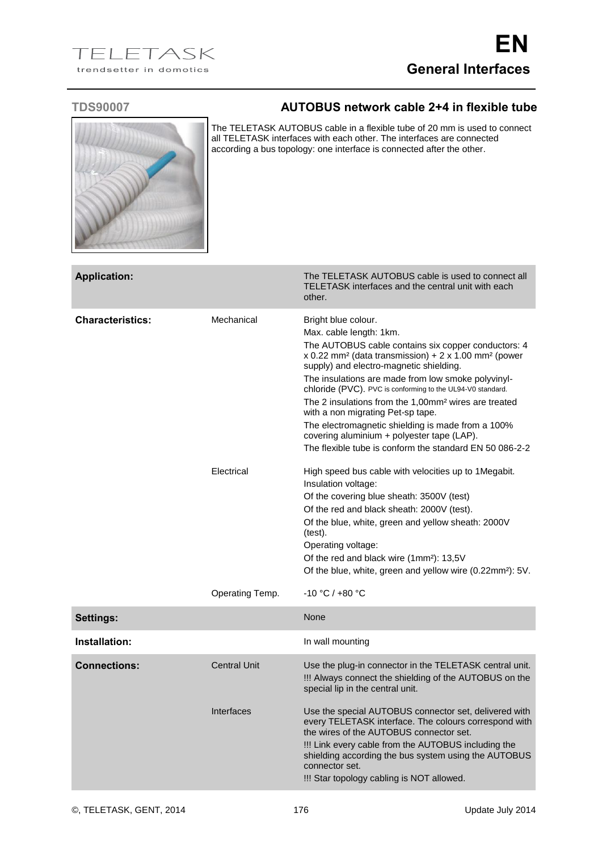

## **TDS90007 AUTOBUS network cable 2+4 in flexible tube**

The TELETASK AUTOBUS cable in a flexible tube of 20 mm is used to connect all TELETASK interfaces with each other. The interfaces are connected according a bus topology: one interface is connected after the other.

| <b>Application:</b>     |                               | The TELETASK AUTOBUS cable is used to connect all<br>TELETASK interfaces and the central unit with each<br>other.                                                                                                                                                                                                                                                                                                                                                                                                                                                                                                                  |
|-------------------------|-------------------------------|------------------------------------------------------------------------------------------------------------------------------------------------------------------------------------------------------------------------------------------------------------------------------------------------------------------------------------------------------------------------------------------------------------------------------------------------------------------------------------------------------------------------------------------------------------------------------------------------------------------------------------|
| <b>Characteristics:</b> | Mechanical                    | Bright blue colour.<br>Max. cable length: 1km.<br>The AUTOBUS cable contains six copper conductors: 4<br>x 0.22 mm <sup>2</sup> (data transmission) + $2 \times 1.00$ mm <sup>2</sup> (power<br>supply) and electro-magnetic shielding.<br>The insulations are made from low smoke polyvinyl-<br>chloride (PVC). PVC is conforming to the UL94-V0 standard.<br>The 2 insulations from the 1,00mm <sup>2</sup> wires are treated<br>with a non migrating Pet-sp tape.<br>The electromagnetic shielding is made from a 100%<br>covering aluminium + polyester tape (LAP).<br>The flexible tube is conform the standard EN 50 086-2-2 |
|                         | Electrical<br>Operating Temp. | High speed bus cable with velocities up to 1 Megabit.<br>Insulation voltage:<br>Of the covering blue sheath: 3500V (test)<br>Of the red and black sheath: 2000V (test).<br>Of the blue, white, green and yellow sheath: 2000V<br>(test).<br>Operating voltage:<br>Of the red and black wire (1mm <sup>2</sup> ): 13,5V<br>Of the blue, white, green and yellow wire (0.22mm <sup>2</sup> ): 5V.<br>$-10 °C / +80 °C$                                                                                                                                                                                                               |
| <b>Settings:</b>        |                               | None                                                                                                                                                                                                                                                                                                                                                                                                                                                                                                                                                                                                                               |
| Installation:           |                               | In wall mounting                                                                                                                                                                                                                                                                                                                                                                                                                                                                                                                                                                                                                   |
| <b>Connections:</b>     | <b>Central Unit</b>           | Use the plug-in connector in the TELETASK central unit.<br>!!! Always connect the shielding of the AUTOBUS on the<br>special lip in the central unit.                                                                                                                                                                                                                                                                                                                                                                                                                                                                              |
|                         | Interfaces                    | Use the special AUTOBUS connector set, delivered with<br>every TELETASK interface. The colours correspond with<br>the wires of the AUTOBUS connector set.<br>!!! Link every cable from the AUTOBUS including the<br>shielding according the bus system using the AUTOBUS<br>connector set.<br>!!! Star topology cabling is NOT allowed.                                                                                                                                                                                                                                                                                            |